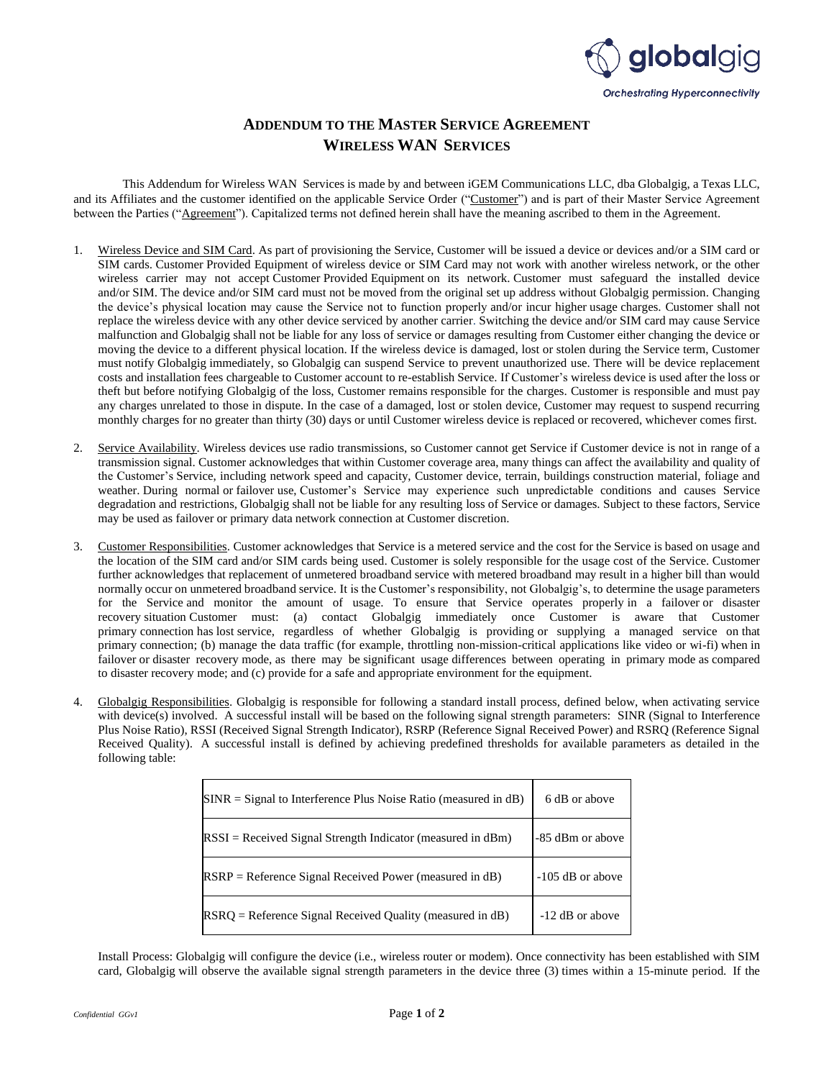

## **ADDENDUM TO THE MASTER SERVICE AGREEMENT WIRELESS WAN SERVICES**

This Addendum for Wireless WAN Services is made by and between iGEM Communications LLC, dba Globalgig, a Texas LLC, and its Affiliates and the customer identified on the applicable Service Order ("Customer") and is part of their Master Service Agreement between the Parties ("Agreement"). Capitalized terms not defined herein shall have the meaning ascribed to them in the Agreement.

- 1. Wireless Device and SIM Card. As part of provisioning the Service, Customer will be issued a device or devices and/or a SIM card or SIM cards. Customer Provided Equipment of wireless device or SIM Card may not work with another wireless network, or the other wireless carrier may not accept Customer Provided Equipment on its network. Customer must safeguard the installed device and/or SIM. The device and/or SIM card must not be moved from the original set up address without Globalgig permission. Changing the device's physical location may cause the Service not to function properly and/or incur higher usage charges. Customer shall not replace the wireless device with any other device serviced by another carrier. Switching the device and/or SIM card may cause Service malfunction and Globalgig shall not be liable for any loss of service or damages resulting from Customer either changing the device or moving the device to a different physical location. If the wireless device is damaged, lost or stolen during the Service term, Customer must notify Globalgig immediately, so Globalgig can suspend Service to prevent unauthorized use. There will be device replacement costs and installation fees chargeable to Customer account to re-establish Service. If Customer's wireless device is used after the loss or theft but before notifying Globalgig of the loss, Customer remains responsible for the charges. Customer is responsible and must pay any charges unrelated to those in dispute. In the case of a damaged, lost or stolen device, Customer may request to suspend recurring monthly charges for no greater than thirty (30) days or until Customer wireless device is replaced or recovered, whichever comes first.
- 2. Service Availability. Wireless devices use radio transmissions, so Customer cannot get Service if Customer device is not in range of a transmission signal. Customer acknowledges that within Customer coverage area, many things can affect the availability and quality of the Customer's Service, including network speed and capacity, Customer device, terrain, buildings construction material, foliage and weather. During normal or failover use, Customer's Service may experience such unpredictable conditions and causes Service degradation and restrictions, Globalgig shall not be liable for any resulting loss of Service or damages. Subject to these factors, Service may be used as failover or primary data network connection at Customer discretion.
- 3. Customer Responsibilities. Customer acknowledges that Service is a metered service and the cost for the Service is based on usage and the location of the SIM card and/or SIM cards being used. Customer is solely responsible for the usage cost of the Service. Customer further acknowledges that replacement of unmetered broadband service with metered broadband may result in a higher bill than would normally occur on unmetered broadband service. It is the Customer's responsibility, not Globalgig's, to determine the usage parameters for the Service and monitor the amount of usage. To ensure that Service operates properly in a failover or disaster recovery situation Customer must: (a) contact Globalgig immediately once Customer is aware that Customer primary connection has lost service, regardless of whether Globalgig is providing or supplying a managed service on that primary connection; (b) manage the data traffic (for example, throttling non-mission-critical applications like video or wi-fi) when in failover or disaster recovery mode, as there may be significant usage differences between operating in primary mode as compared to disaster recovery mode; and (c) provide for a safe and appropriate environment for the equipment.
- 4. Globalgig Responsibilities. Globalgig is responsible for following a standard install process, defined below, when activating service with device(s) involved. A successful install will be based on the following signal strength parameters: SINR (Signal to Interference Plus Noise Ratio), RSSI (Received Signal Strength Indicator), RSRP (Reference Signal Received Power) and RSRQ (Reference Signal Received Quality). A successful install is defined by achieving predefined thresholds for available parameters as detailed in the following table:

| $SINR = Signal$ to Interference Plus Noise Ratio (measured in dB) | 6 dB or above      |
|-------------------------------------------------------------------|--------------------|
| $RSSI = Received Signal Strength Indicator (measured in dBm)$     | -85 dBm or above   |
| $RSRP = Reference Signal Received Power (measured in dB)$         | $-105$ dB or above |
| $RSRQ =$ Reference Signal Received Quality (measured in dB)       | -12 dB or above    |

Install Process: Globalgig will configure the device (i.e., wireless router or modem). Once connectivity has been established with SIM card, Globalgig will observe the available signal strength parameters in the device three (3) times within a 15-minute period. If the